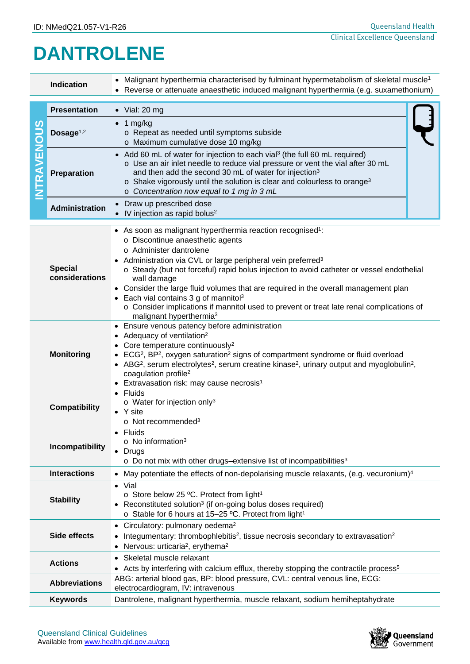## **DANTROLENE**

| <b>Indication</b>    |                                                                                                                                                                                                                                 | • Malignant hyperthermia characterised by fulminant hypermetabolism of skeletal muscle <sup>1</sup><br>Reverse or attenuate anaesthetic induced malignant hyperthermia (e.g. suxamethonium)                                                                                                                                                                                                                                                                                                                                                                                                              |  |  |  |  |
|----------------------|---------------------------------------------------------------------------------------------------------------------------------------------------------------------------------------------------------------------------------|----------------------------------------------------------------------------------------------------------------------------------------------------------------------------------------------------------------------------------------------------------------------------------------------------------------------------------------------------------------------------------------------------------------------------------------------------------------------------------------------------------------------------------------------------------------------------------------------------------|--|--|--|--|
| <b>TRAVENOUS</b>     | <b>Presentation</b>                                                                                                                                                                                                             | $\bullet$ Vial: 20 mg                                                                                                                                                                                                                                                                                                                                                                                                                                                                                                                                                                                    |  |  |  |  |
|                      | Dosage $1,2$                                                                                                                                                                                                                    | $\bullet$ 1 mg/kg<br>o Repeat as needed until symptoms subside<br>o Maximum cumulative dose 10 mg/kg                                                                                                                                                                                                                                                                                                                                                                                                                                                                                                     |  |  |  |  |
|                      | Preparation                                                                                                                                                                                                                     | • Add 60 mL of water for injection to each vial <sup>3</sup> (the full 60 mL required)<br>o Use an air inlet needle to reduce vial pressure or vent the vial after 30 mL<br>and then add the second 30 mL of water for injection <sup>3</sup><br>o Shake vigorously until the solution is clear and colourless to orange <sup>3</sup><br>o Concentration now equal to 1 mg in 3 mL                                                                                                                                                                                                                       |  |  |  |  |
|                      | <b>Administration</b>                                                                                                                                                                                                           | • Draw up prescribed dose<br>• IV injection as rapid bolus <sup>2</sup>                                                                                                                                                                                                                                                                                                                                                                                                                                                                                                                                  |  |  |  |  |
|                      | <b>Special</b><br>considerations                                                                                                                                                                                                | • As soon as malignant hyperthermia reaction recognised <sup>1</sup> :<br>o Discontinue anaesthetic agents<br>o Administer dantrolene<br>Administration via CVL or large peripheral vein preferred <sup>3</sup><br>o Steady (but not forceful) rapid bolus injection to avoid catheter or vessel endothelial<br>wall damage<br>• Consider the large fluid volumes that are required in the overall management plan<br>Each vial contains 3 g of mannitol <sup>3</sup><br>o Consider implications if mannitol used to prevent or treat late renal complications of<br>malignant hyperthermia <sup>3</sup> |  |  |  |  |
| <b>Monitoring</b>    |                                                                                                                                                                                                                                 | • Ensure venous patency before administration<br>Adequacy of ventilation <sup>2</sup><br>Core temperature continuously <sup>2</sup><br>ECG <sup>2</sup> , BP <sup>2</sup> , oxygen saturation <sup>2</sup> signs of compartment syndrome or fluid overload<br>• ABG <sup>2</sup> , serum electrolytes <sup>2</sup> , serum creatine kinase <sup>2</sup> , urinary output and myoglobulin <sup>2</sup> ,<br>coagulation profile <sup>2</sup><br>• Extravasation risk: may cause necrosis <sup>1</sup>                                                                                                     |  |  |  |  |
| <b>Compatibility</b> |                                                                                                                                                                                                                                 | Fluids<br>o Water for injection only <sup>3</sup><br>• Y site<br>o Not recommended <sup>3</sup>                                                                                                                                                                                                                                                                                                                                                                                                                                                                                                          |  |  |  |  |
| Incompatibility      |                                                                                                                                                                                                                                 | Fluids<br>$\circ$ No information <sup>3</sup><br>• Drugs<br>$\circ$ Do not mix with other drugs-extensive list of incompatibilities <sup>3</sup>                                                                                                                                                                                                                                                                                                                                                                                                                                                         |  |  |  |  |
| <b>Interactions</b>  |                                                                                                                                                                                                                                 | May potentiate the effects of non-depolarising muscle relaxants, (e.g. vecuronium) <sup>4</sup>                                                                                                                                                                                                                                                                                                                                                                                                                                                                                                          |  |  |  |  |
| <b>Stability</b>     |                                                                                                                                                                                                                                 | · Vial<br>o Store below 25 °C. Protect from light <sup>1</sup><br>• Reconstituted solution <sup>3</sup> (if on-going bolus doses required)<br>o Stable for 6 hours at 15-25 °C. Protect from light <sup>1</sup>                                                                                                                                                                                                                                                                                                                                                                                          |  |  |  |  |
|                      | Circulatory: pulmonary oedema <sup>2</sup><br>Side effects<br>Integumentary: thrombophlebitis <sup>2</sup> , tissue necrosis secondary to extravasation <sup>2</sup><br>Nervous: urticaria <sup>2</sup> , erythema <sup>2</sup> |                                                                                                                                                                                                                                                                                                                                                                                                                                                                                                                                                                                                          |  |  |  |  |
|                      | <b>Actions</b>                                                                                                                                                                                                                  | Skeletal muscle relaxant<br>$\bullet$<br>• Acts by interfering with calcium efflux, thereby stopping the contractile process <sup>5</sup>                                                                                                                                                                                                                                                                                                                                                                                                                                                                |  |  |  |  |
|                      | ABG: arterial blood gas, BP: blood pressure, CVL: central venous line, ECG:<br><b>Abbreviations</b><br>electrocardiogram, IV: intravenous                                                                                       |                                                                                                                                                                                                                                                                                                                                                                                                                                                                                                                                                                                                          |  |  |  |  |
|                      | Dantrolene, malignant hyperthermia, muscle relaxant, sodium hemiheptahydrate<br><b>Keywords</b>                                                                                                                                 |                                                                                                                                                                                                                                                                                                                                                                                                                                                                                                                                                                                                          |  |  |  |  |